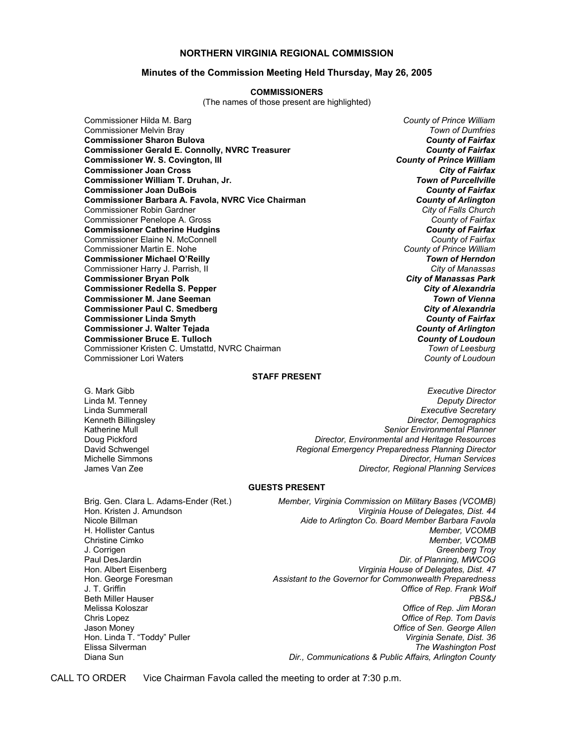### **NORTHERN VIRGINIA REGIONAL COMMISSION**

### **Minutes of the Commission Meeting Held Thursday, May 26, 2005**

### **COMMISSIONERS**

(The names of those present are highlighted)

Commissioner Hilda M. Barg *County of Prince William* Commissioner Melvin Bray *Town of Dumfries* **Commissioner Sharon Bulova** *County of Fairfax* **Commissioner Gerald E. Connolly, NVRC Treasurer** *County of Fairfax* **Commissioner W. S. Covington, III Commissioner Joan Cross** *City of Fairfax* **Commissioner William T. Druhan, Jr.** *Town of Purcellville* **Commissioner Joan DuBois** *County of Fairfax* **Commissioner Barbara A. Favola, NVRC Vice Chairman** *County of Arlington* Commissioner Robin Gardner *City of Falls Church* Commissioner Penelope A. Gross *County of Fairfax* **Commissioner Catherine Hudgins** *County of Fairfax* Commissioner Elaine N. McConnell *County of Fairfax* Commissioner Martin E. Nohe *County of Prince William* **Commissioner Michael O'Reilly** *Town of Herndon* Commissioner Harry J. Parrish, II *City of Manassas* **Commissioner Bryan Polk** *City of Manassas Park* **Commissioner Redella S. Pepper** *City of Alexandria* **Commissioner M. Jane Seeman** *Town of Vienna* **Commissioner Paul C. Smedberg** *City of Alexandria* **Commissioner Linda Smyth Commissioner J. Walter Tejada** *County of Arlington* **Commissioner Bruce E. Tulloch** *County of Loudoun* Commissioner Kristen C. Umstattd, NVRC Chairman *Town of Leesburg* Commissioner Lori Waters *County of Loudoun*

### **STAFF PRESENT**

G. Mark Gibb *Executive Director* Linda M. Tenney *Deputy Director* Linda Summerall *Executive Secretary* Kenneth Billingsley *Director, Demographics* Katherine Mull *Senior Environmental Planner* Doug Pickford *Director, Environmental and Heritage Resources* Regional Emergency Preparedness Planning Director Michelle Simmons *Director, Human Services* **Director, Regional Planning Services** 

#### **GUESTS PRESENT**

Brig. Gen. Clara L. Adams-Ender (Ret.) *Member, Virginia Commission on Military Bases (VCOMB)* Virginia House of Delegates, Dist. 44 Nicole Billman *Aide to Arlington Co. Board Member Barbara Favola* Member, VCOMB Christine Cimko *Member, VCOMB* J. Corrigen *Greenberg Troy* Paul DesJardin *Dir. of Planning, MWCOG* Hon. Albert Eisenberg *Virginia House of Delegates, Dist. 47* Hon. George Foresman *Assistant to the Governor for Commonwealth Preparedness* J. T. Griffin *Office of Rep. Frank Wolf* Beth Miller Hauser *PBS&J* Melissa Koloszar *Office of Rep. Jim Moran* Chris Lopez *Office of Rep. Tom Davis* Jason Money *Office of Sen. George Allen* Hon. Linda T. "Toddy" Puller **Virginia Senate, Dist. 36** Elissa Silverman *The Washington Post* Dir., Communications & Public Affairs, Arlington County

CALL TO ORDER Vice Chairman Favola called the meeting to order at 7:30 p.m.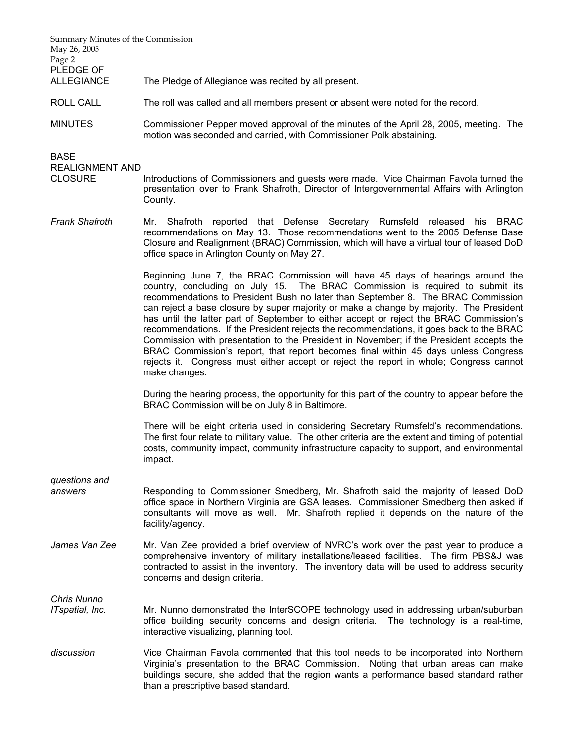Summary Minutes of the Commission May 26, 2005 Page 2 PLEDGE OF ALLEGIANCE The Pledge of Allegiance was recited by all present.

- ROLL CALL The roll was called and all members present or absent were noted for the record.
- MINUTES Commissioner Pepper moved approval of the minutes of the April 28, 2005, meeting. The motion was seconded and carried, with Commissioner Polk abstaining.

BASE

REALIGNMENT AND

- CLOSURE Introductions of Commissioners and guests were made. Vice Chairman Favola turned the presentation over to Frank Shafroth, Director of Intergovernmental Affairs with Arlington County.
- *Frank Shafroth* Mr. Shafroth reported that Defense Secretary Rumsfeld released his BRAC recommendations on May 13. Those recommendations went to the 2005 Defense Base Closure and Realignment (BRAC) Commission, which will have a virtual tour of leased DoD office space in Arlington County on May 27.

 Beginning June 7, the BRAC Commission will have 45 days of hearings around the country, concluding on July 15. The BRAC Commission is required to submit its recommendations to President Bush no later than September 8. The BRAC Commission can reject a base closure by super majority or make a change by majority. The President has until the latter part of September to either accept or reject the BRAC Commission's recommendations. If the President rejects the recommendations, it goes back to the BRAC Commission with presentation to the President in November; if the President accepts the BRAC Commission's report, that report becomes final within 45 days unless Congress rejects it. Congress must either accept or reject the report in whole; Congress cannot make changes.

 During the hearing process, the opportunity for this part of the country to appear before the BRAC Commission will be on July 8 in Baltimore.

There will be eight criteria used in considering Secretary Rumsfeld's recommendations. The first four relate to military value. The other criteria are the extent and timing of potential costs, community impact, community infrastructure capacity to support, and environmental impact.

*questions and* 

- *answers* Responding to Commissioner Smedberg, Mr. Shafroth said the majority of leased DoD office space in Northern Virginia are GSA leases. Commissioner Smedberg then asked if consultants will move as well. Mr. Shafroth replied it depends on the nature of the facility/agency.
- James Van Zee Mr. Van Zee provided a brief overview of NVRC's work over the past year to produce a comprehensive inventory of military installations/leased facilities. The firm PBS&J was contracted to assist in the inventory. The inventory data will be used to address security concerns and design criteria.

*Chris Nunno* 

- *ITspatial, Inc.* Mr. Nunno demonstrated the InterSCOPE technology used in addressing urban/suburban office building security concerns and design criteria. The technology is a real-time, interactive visualizing, planning tool.
- *discussion* Vice Chairman Favola commented that this tool needs to be incorporated into Northern Virginia's presentation to the BRAC Commission. Noting that urban areas can make buildings secure, she added that the region wants a performance based standard rather than a prescriptive based standard.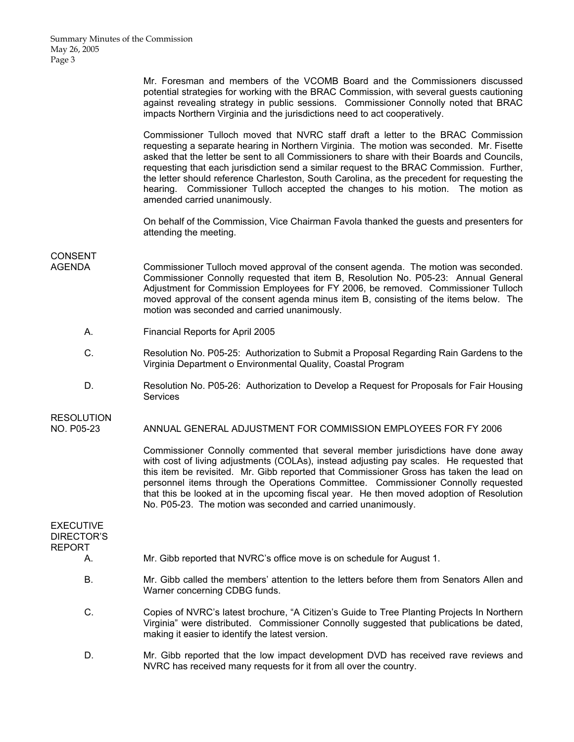Mr. Foresman and members of the VCOMB Board and the Commissioners discussed potential strategies for working with the BRAC Commission, with several guests cautioning against revealing strategy in public sessions. Commissioner Connolly noted that BRAC impacts Northern Virginia and the jurisdictions need to act cooperatively.

 Commissioner Tulloch moved that NVRC staff draft a letter to the BRAC Commission requesting a separate hearing in Northern Virginia. The motion was seconded. Mr. Fisette asked that the letter be sent to all Commissioners to share with their Boards and Councils, requesting that each jurisdiction send a similar request to the BRAC Commission. Further, the letter should reference Charleston, South Carolina, as the precedent for requesting the hearing. Commissioner Tulloch accepted the changes to his motion. The motion as amended carried unanimously.

On behalf of the Commission, Vice Chairman Favola thanked the guests and presenters for attending the meeting.

## CONSENT

- AGENDA Commissioner Tulloch moved approval of the consent agenda. The motion was seconded. Commissioner Connolly requested that item B, Resolution No. P05-23: Annual General Adjustment for Commission Employees for FY 2006, be removed. Commissioner Tulloch moved approval of the consent agenda minus item B, consisting of the items below. The motion was seconded and carried unanimously.
	- A. Financial Reports for April 2005
	- C. Resolution No. P05-25: Authorization to Submit a Proposal Regarding Rain Gardens to the Virginia Department o Environmental Quality, Coastal Program
	- D. Resolution No. P05-26: Authorization to Develop a Request for Proposals for Fair Housing **Services**

## RESOLUTION

NO. P05-23 ANNUAL GENERAL ADJUSTMENT FOR COMMISSION EMPLOYEES FOR FY 2006

 Commissioner Connolly commented that several member jurisdictions have done away with cost of living adjustments (COLAs), instead adjusting pay scales. He requested that this item be revisited. Mr. Gibb reported that Commissioner Gross has taken the lead on personnel items through the Operations Committee. Commissioner Connolly requested that this be looked at in the upcoming fiscal year. He then moved adoption of Resolution No. P05-23. The motion was seconded and carried unanimously.

| EXECUTIVE<br>DIRECTOR'S<br>REPORT<br>А. | Mr. Gibb reported that NVRC's office move is on schedule for August 1.                                                                                                                                                                    |  |
|-----------------------------------------|-------------------------------------------------------------------------------------------------------------------------------------------------------------------------------------------------------------------------------------------|--|
|                                         |                                                                                                                                                                                                                                           |  |
| В.                                      | Mr. Gibb called the members' attention to the letters before them from Senators Allen and<br>Warner concerning CDBG funds.                                                                                                                |  |
| C.                                      | Copies of NVRC's latest brochure, "A Citizen's Guide to Tree Planting Projects In Northern<br>Virginia" were distributed. Commissioner Connolly suggested that publications be dated,<br>making it easier to identify the latest version. |  |
| D                                       | Mr. Gibb reported that the low impact development DVD has received rave reviews and                                                                                                                                                       |  |

NVRC has received many requests for it from all over the country.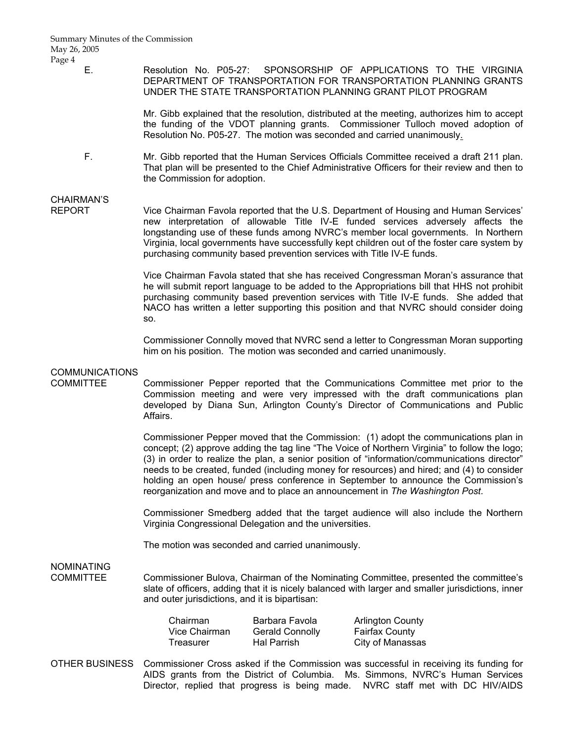### E. Resolution No. P05-27: SPONSORSHIP OF APPLICATIONS TO THE VIRGINIA DEPARTMENT OF TRANSPORTATION FOR TRANSPORTATION PLANNING GRANTS UNDER THE STATE TRANSPORTATION PLANNING GRANT PILOT PROGRAM

 Mr. Gibb explained that the resolution, distributed at the meeting, authorizes him to accept the funding of the VDOT planning grants. Commissioner Tulloch moved adoption of Resolution No. P05-27. The motion was seconded and carried unanimously.

 F. Mr. Gibb reported that the Human Services Officials Committee received a draft 211 plan. That plan will be presented to the Chief Administrative Officers for their review and then to the Commission for adoption.

### CHAIRMAN'S

REPORT Vice Chairman Favola reported that the U.S. Department of Housing and Human Services' new interpretation of allowable Title IV-E funded services adversely affects the longstanding use of these funds among NVRC's member local governments. In Northern Virginia, local governments have successfully kept children out of the foster care system by purchasing community based prevention services with Title IV-E funds.

> Vice Chairman Favola stated that she has received Congressman Moran's assurance that he will submit report language to be added to the Appropriations bill that HHS not prohibit purchasing community based prevention services with Title IV-E funds. She added that NACO has written a letter supporting this position and that NVRC should consider doing so.

> Commissioner Connolly moved that NVRC send a letter to Congressman Moran supporting him on his position. The motion was seconded and carried unanimously.

### **COMMUNICATIONS**

COMMITTEE Commissioner Pepper reported that the Communications Committee met prior to the Commission meeting and were very impressed with the draft communications plan developed by Diana Sun, Arlington County's Director of Communications and Public Affairs.

> Commissioner Pepper moved that the Commission: (1) adopt the communications plan in concept; (2) approve adding the tag line "The Voice of Northern Virginia" to follow the logo; (3) in order to realize the plan, a senior position of "information/communications director" needs to be created, funded (including money for resources) and hired; and (4) to consider holding an open house/ press conference in September to announce the Commission's reorganization and move and to place an announcement in *The Washington Post*.

> Commissioner Smedberg added that the target audience will also include the Northern Virginia Congressional Delegation and the universities.

The motion was seconded and carried unanimously.

# NOMINATING

COMMITTEE Commissioner Bulova, Chairman of the Nominating Committee, presented the committee's slate of officers, adding that it is nicely balanced with larger and smaller jurisdictions, inner and outer jurisdictions, and it is bipartisan:

| Chairman      | Barbara Favola         | <b>Arlington County</b> |
|---------------|------------------------|-------------------------|
| Vice Chairman | <b>Gerald Connolly</b> | <b>Fairfax County</b>   |
| Treasurer     | <b>Hal Parrish</b>     | City of Manassas        |

OTHER BUSINESS Commissioner Cross asked if the Commission was successful in receiving its funding for AIDS grants from the District of Columbia. Ms. Simmons, NVRC's Human Services Director, replied that progress is being made. NVRC staff met with DC HIV/AIDS